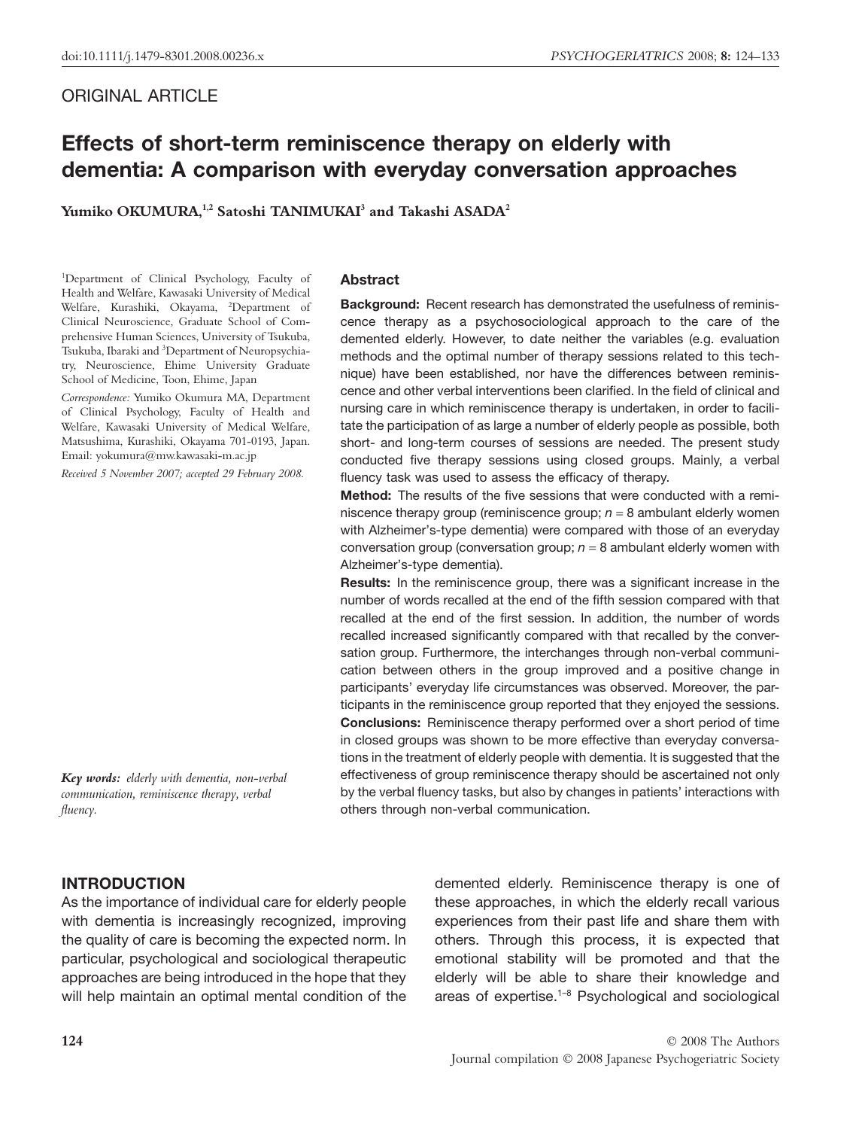# **Effects of short-term reminiscence therapy on elderly with dementia: A comparison with everyday conversation approaches**

**Yumiko OKUMURA,1,2 Satoshi TANIMUKAI3 and Takashi ASADA2**

1 Department of Clinical Psychology, Faculty of Health and Welfare, Kawasaki University of Medical Welfare, Kurashiki, Okayama, <sup>2</sup> Department of Clinical Neuroscience, Graduate School of Comprehensive Human Sciences, University of Tsukuba, Tsukuba, Ibaraki and <sup>3</sup> Department of Neuropsychiatry, Neuroscience, Ehime University Graduate School of Medicine, Toon, Ehime, Japan

*Correspondence:* Yumiko Okumura MA, Department of Clinical Psychology, Faculty of Health and Welfare, Kawasaki University of Medical Welfare, Matsushima, Kurashiki, Okayama 701-0193, Japan. Email: [yokumura@mw.kawasaki-m.ac.jp](mailto:yokumura@mw.kawasaki-m.ac.jp)

*Received 5 November 2007; accepted 29 February 2008.*

*Key words: elderly with dementia, non-verbal communication, reminiscence therapy, verbal fluency.*

#### **Abstract**

**Background:** Recent research has demonstrated the usefulness of reminiscence therapy as a psychosociological approach to the care of the demented elderly. However, to date neither the variables (e.g. evaluation methods and the optimal number of therapy sessions related to this technique) have been established, nor have the differences between reminiscence and other verbal interventions been clarified. In the field of clinical and nursing care in which reminiscence therapy is undertaken, in order to facilitate the participation of as large a number of elderly people as possible, both short- and long-term courses of sessions are needed. The present study conducted five therapy sessions using closed groups. Mainly, a verbal fluency task was used to assess the efficacy of therapy.

**Method:** The results of the five sessions that were conducted with a reminiscence therapy group (reminiscence group; *n* = 8 ambulant elderly women with Alzheimer's-type dementia) were compared with those of an everyday conversation group (conversation group;  $n = 8$  ambulant elderly women with Alzheimer's-type dementia).

**Results:** In the reminiscence group, there was a significant increase in the number of words recalled at the end of the fifth session compared with that recalled at the end of the first session. In addition, the number of words recalled increased significantly compared with that recalled by the conversation group. Furthermore, the interchanges through non-verbal communication between others in the group improved and a positive change in participants' everyday life circumstances was observed. Moreover, the participants in the reminiscence group reported that they enjoyed the sessions. **Conclusions:** Reminiscence therapy performed over a short period of time in closed groups was shown to be more effective than everyday conversations in the treatment of elderly people with dementia. It is suggested that the effectiveness of group reminiscence therapy should be ascertained not only by the verbal fluency tasks, but also by changes in patients' interactions with others through non-verbal communication.

### **INTRODUCTION**

As the importance of individual care for elderly people with dementia is increasingly recognized, improving the quality of care is becoming the expected norm. In particular, psychological and sociological therapeutic approaches are being introduced in the hope that they will help maintain an optimal mental condition of the demented elderly. Reminiscence therapy is one of these approaches, in which the elderly recall various experiences from their past life and share them with others. Through this process, it is expected that emotional stability will be promoted and that the elderly will be able to share their knowledge and areas of expertise.1–8 Psychological and sociological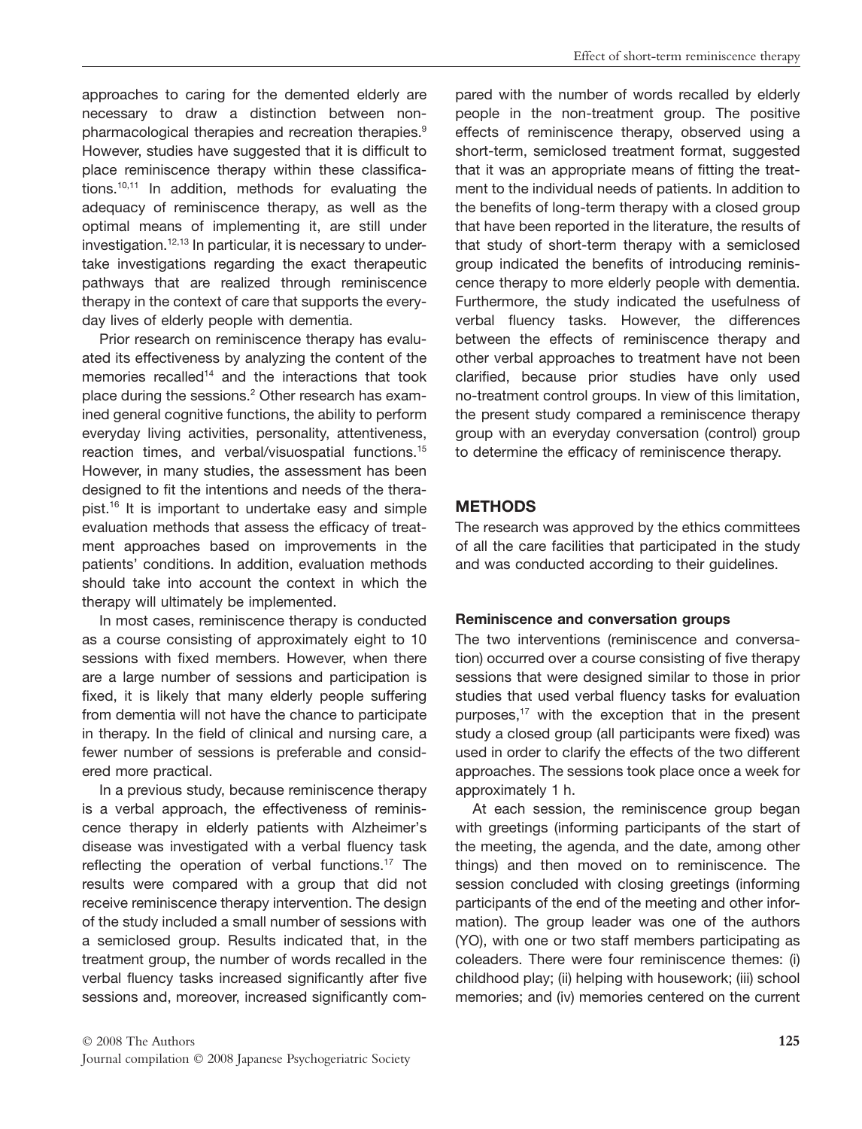approaches to caring for the demented elderly are necessary to draw a distinction between nonpharmacological therapies and recreation therapies.<sup>9</sup> However, studies have suggested that it is difficult to place reminiscence therapy within these classifications.<sup>10,11</sup> In addition, methods for evaluating the adequacy of reminiscence therapy, as well as the optimal means of implementing it, are still under investigation.<sup>12,13</sup> In particular, it is necessary to undertake investigations regarding the exact therapeutic pathways that are realized through reminiscence therapy in the context of care that supports the everyday lives of elderly people with dementia.

Prior research on reminiscence therapy has evaluated its effectiveness by analyzing the content of the memories recalled $14$  and the interactions that took place during the sessions.2 Other research has examined general cognitive functions, the ability to perform everyday living activities, personality, attentiveness, reaction times, and verbal/visuospatial functions.<sup>15</sup> However, in many studies, the assessment has been designed to fit the intentions and needs of the therapist.16 It is important to undertake easy and simple evaluation methods that assess the efficacy of treatment approaches based on improvements in the patients' conditions. In addition, evaluation methods should take into account the context in which the therapy will ultimately be implemented.

In most cases, reminiscence therapy is conducted as a course consisting of approximately eight to 10 sessions with fixed members. However, when there are a large number of sessions and participation is fixed, it is likely that many elderly people suffering from dementia will not have the chance to participate in therapy. In the field of clinical and nursing care, a fewer number of sessions is preferable and considered more practical.

In a previous study, because reminiscence therapy is a verbal approach, the effectiveness of reminiscence therapy in elderly patients with Alzheimer's disease was investigated with a verbal fluency task reflecting the operation of verbal functions.<sup>17</sup> The results were compared with a group that did not receive reminiscence therapy intervention. The design of the study included a small number of sessions with a semiclosed group. Results indicated that, in the treatment group, the number of words recalled in the verbal fluency tasks increased significantly after five sessions and, moreover, increased significantly compared with the number of words recalled by elderly people in the non-treatment group. The positive effects of reminiscence therapy, observed using a short-term, semiclosed treatment format, suggested that it was an appropriate means of fitting the treatment to the individual needs of patients. In addition to the benefits of long-term therapy with a closed group that have been reported in the literature, the results of that study of short-term therapy with a semiclosed group indicated the benefits of introducing reminiscence therapy to more elderly people with dementia. Furthermore, the study indicated the usefulness of verbal fluency tasks. However, the differences between the effects of reminiscence therapy and other verbal approaches to treatment have not been clarified, because prior studies have only used no-treatment control groups. In view of this limitation, the present study compared a reminiscence therapy group with an everyday conversation (control) group to determine the efficacy of reminiscence therapy.

### **METHODS**

The research was approved by the ethics committees of all the care facilities that participated in the study and was conducted according to their guidelines.

### **Reminiscence and conversation groups**

The two interventions (reminiscence and conversation) occurred over a course consisting of five therapy sessions that were designed similar to those in prior studies that used verbal fluency tasks for evaluation purposes,<sup>17</sup> with the exception that in the present study a closed group (all participants were fixed) was used in order to clarify the effects of the two different approaches. The sessions took place once a week for approximately 1 h.

At each session, the reminiscence group began with greetings (informing participants of the start of the meeting, the agenda, and the date, among other things) and then moved on to reminiscence. The session concluded with closing greetings (informing participants of the end of the meeting and other information). The group leader was one of the authors (YO), with one or two staff members participating as coleaders. There were four reminiscence themes: (i) childhood play; (ii) helping with housework; (iii) school memories; and (iv) memories centered on the current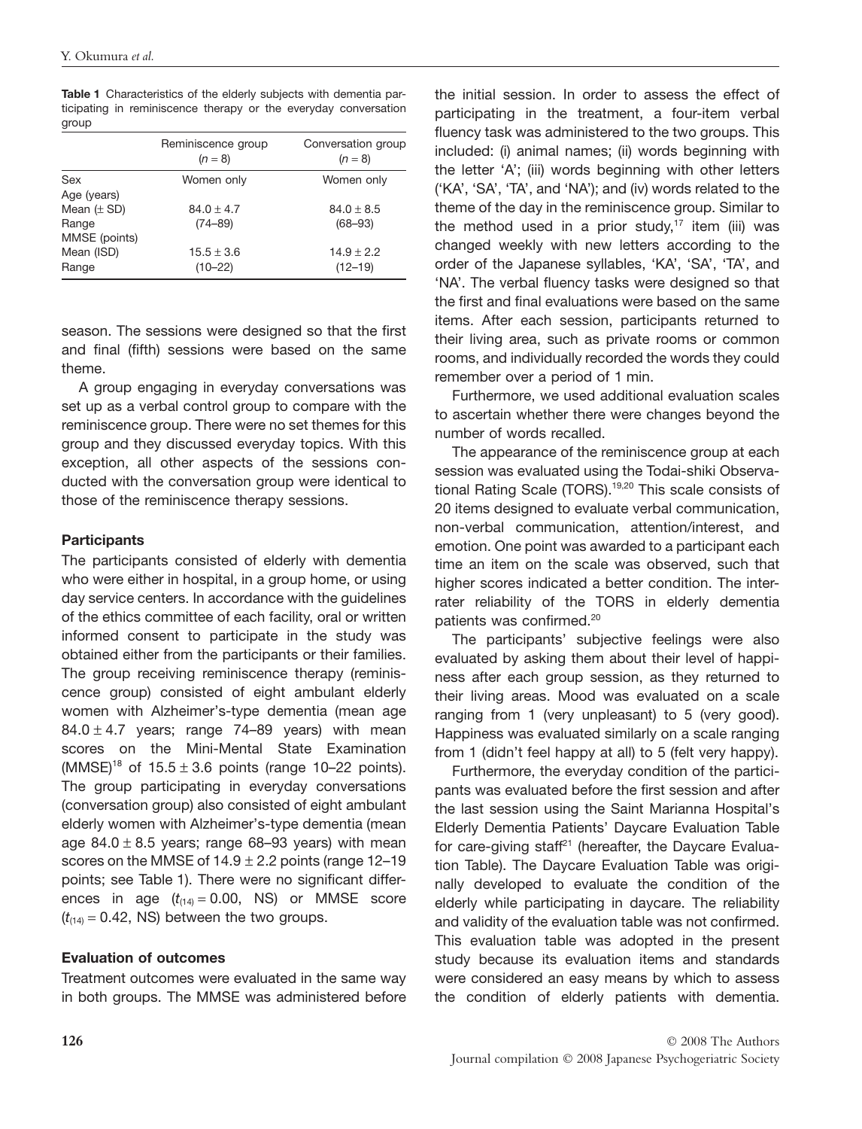**Table 1** Characteristics of the elderly subjects with dementia participating in reminiscence therapy or the everyday conversation group

|                 | Reminiscence group<br>$(n = 8)$ | Conversation group<br>$(n = 8)$ |  |  |
|-----------------|---------------------------------|---------------------------------|--|--|
| Sex             | Women only                      | Women only                      |  |  |
| Age (years)     |                                 |                                 |  |  |
| Mean $(\pm SD)$ | $84.0 \pm 4.7$                  | $84.0 \pm 8.5$                  |  |  |
| Range           | $(74 - 89)$                     | $(68 - 93)$                     |  |  |
| MMSE (points)   |                                 |                                 |  |  |
| Mean (ISD)      | $15.5 \pm 3.6$                  | $14.9 \pm 2.2$                  |  |  |
| Range           | $(10 - 22)$                     | $(12 - 19)$                     |  |  |

season. The sessions were designed so that the first and final (fifth) sessions were based on the same theme.

A group engaging in everyday conversations was set up as a verbal control group to compare with the reminiscence group. There were no set themes for this group and they discussed everyday topics. With this exception, all other aspects of the sessions conducted with the conversation group were identical to those of the reminiscence therapy sessions.

### **Participants**

The participants consisted of elderly with dementia who were either in hospital, in a group home, or using day service centers. In accordance with the guidelines of the ethics committee of each facility, oral or written informed consent to participate in the study was obtained either from the participants or their families. The group receiving reminiscence therapy (reminiscence group) consisted of eight ambulant elderly women with Alzheimer's-type dementia (mean age  $84.0 \pm 4.7$  years; range 74–89 years) with mean scores on the Mini-Mental State Examination  $(MMSE)^{18}$  of  $15.5 \pm 3.6$  points (range 10–22 points). The group participating in everyday conversations (conversation group) also consisted of eight ambulant elderly women with Alzheimer's-type dementia (mean age  $84.0 \pm 8.5$  years; range 68–93 years) with mean scores on the MMSE of  $14.9 \pm 2.2$  points (range 12–19 points; see Table 1). There were no significant differences in age  $(t<sub>(14)</sub> = 0.00, NS)$  or MMSE score  $(t<sub>(14)</sub> = 0.42, NS)$  between the two groups.

### **Evaluation of outcomes**

Treatment outcomes were evaluated in the same way in both groups. The MMSE was administered before

the initial session. In order to assess the effect of participating in the treatment, a four-item verbal fluency task was administered to the two groups. This included: (i) animal names; (ii) words beginning with the letter 'A'; (iii) words beginning with other letters ('KA', 'SA', 'TA', and 'NA'); and (iv) words related to the theme of the day in the reminiscence group. Similar to the method used in a prior study, $17$  item (iii) was changed weekly with new letters according to the order of the Japanese syllables, 'KA', 'SA', 'TA', and 'NA'. The verbal fluency tasks were designed so that the first and final evaluations were based on the same items. After each session, participants returned to their living area, such as private rooms or common rooms, and individually recorded the words they could remember over a period of 1 min.

Furthermore, we used additional evaluation scales to ascertain whether there were changes beyond the number of words recalled.

The appearance of the reminiscence group at each session was evaluated using the Todai-shiki Observational Rating Scale (TORS).<sup>19,20</sup> This scale consists of 20 items designed to evaluate verbal communication, non-verbal communication, attention/interest, and emotion. One point was awarded to a participant each time an item on the scale was observed, such that higher scores indicated a better condition. The interrater reliability of the TORS in elderly dementia patients was confirmed.<sup>20</sup>

The participants' subjective feelings were also evaluated by asking them about their level of happiness after each group session, as they returned to their living areas. Mood was evaluated on a scale ranging from 1 (very unpleasant) to 5 (very good). Happiness was evaluated similarly on a scale ranging from 1 (didn't feel happy at all) to 5 (felt very happy).

Furthermore, the everyday condition of the participants was evaluated before the first session and after the last session using the Saint Marianna Hospital's Elderly Dementia Patients' Daycare Evaluation Table for care-giving staff<sup>21</sup> (hereafter, the Daycare Evaluation Table). The Daycare Evaluation Table was originally developed to evaluate the condition of the elderly while participating in daycare. The reliability and validity of the evaluation table was not confirmed. This evaluation table was adopted in the present study because its evaluation items and standards were considered an easy means by which to assess the condition of elderly patients with dementia.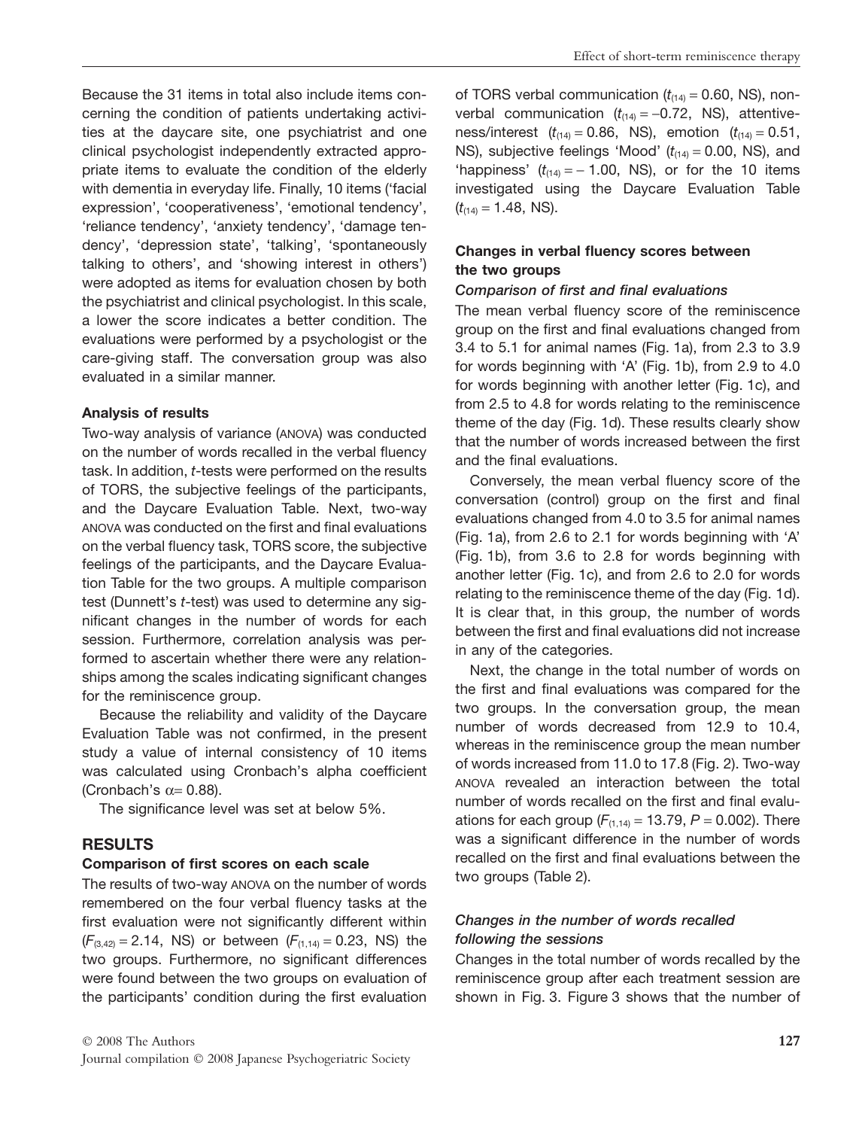Because the 31 items in total also include items concerning the condition of patients undertaking activities at the daycare site, one psychiatrist and one clinical psychologist independently extracted appropriate items to evaluate the condition of the elderly with dementia in everyday life. Finally, 10 items ('facial expression', 'cooperativeness', 'emotional tendency', 'reliance tendency', 'anxiety tendency', 'damage tendency', 'depression state', 'talking', 'spontaneously talking to others', and 'showing interest in others') were adopted as items for evaluation chosen by both the psychiatrist and clinical psychologist. In this scale, a lower the score indicates a better condition. The evaluations were performed by a psychologist or the care-giving staff. The conversation group was also evaluated in a similar manner.

#### **Analysis of results**

Two-way analysis of variance (ANOVA) was conducted on the number of words recalled in the verbal fluency task. In addition, *t*-tests were performed on the results of TORS, the subjective feelings of the participants, and the Daycare Evaluation Table. Next, two-way ANOVA was conducted on the first and final evaluations on the verbal fluency task, TORS score, the subjective feelings of the participants, and the Daycare Evaluation Table for the two groups. A multiple comparison test (Dunnett's *t*-test) was used to determine any significant changes in the number of words for each session. Furthermore, correlation analysis was performed to ascertain whether there were any relationships among the scales indicating significant changes for the reminiscence group.

Because the reliability and validity of the Daycare Evaluation Table was not confirmed, in the present study a value of internal consistency of 10 items was calculated using Cronbach's alpha coefficient (Cronbach's  $\alpha$  = 0.88).

The significance level was set at below 5%.

### **RESULTS**

#### **Comparison of first scores on each scale**

The results of two-way ANOVA on the number of words remembered on the four verbal fluency tasks at the first evaluation were not significantly different within  $(F_{(3,42)} = 2.14$ , NS) or between  $(F_{(1,14)} = 0.23,$  NS) the two groups. Furthermore, no significant differences were found between the two groups on evaluation of the participants' condition during the first evaluation

of TORS verbal communication  $(t<sub>(14)</sub> = 0.60, NS)$ , nonverbal communication  $(t<sub>(14)</sub> = -0.72, NS)$ , attentiveness/interest  $(t_{(14)} = 0.86, \text{ NS})$ , emotion  $(t_{(14)} = 0.51,$ NS), subjective feelings 'Mood'  $(t<sub>(14)</sub> = 0.00, NS)$ , and 'happiness'  $(t<sub>(14)</sub> = -1.00, NS)$ , or for the 10 items investigated using the Daycare Evaluation Table  $(t<sub>(14)</sub> = 1.48, NS).$ 

### **Changes in verbal fluency scores between the two groups**

### *Comparison of first and final evaluations*

The mean verbal fluency score of the reminiscence group on the first and final evaluations changed from 3.4 to 5.1 for animal names (Fig. 1a), from 2.3 to 3.9 for words beginning with 'A' (Fig. 1b), from 2.9 to 4.0 for words beginning with another letter (Fig. 1c), and from 2.5 to 4.8 for words relating to the reminiscence theme of the day (Fig. 1d). These results clearly show that the number of words increased between the first and the final evaluations.

Conversely, the mean verbal fluency score of the conversation (control) group on the first and final evaluations changed from 4.0 to 3.5 for animal names (Fig. 1a), from 2.6 to 2.1 for words beginning with 'A' (Fig. 1b), from 3.6 to 2.8 for words beginning with another letter (Fig. 1c), and from 2.6 to 2.0 for words relating to the reminiscence theme of the day (Fig. 1d). It is clear that, in this group, the number of words between the first and final evaluations did not increase in any of the categories.

Next, the change in the total number of words on the first and final evaluations was compared for the two groups. In the conversation group, the mean number of words decreased from 12.9 to 10.4, whereas in the reminiscence group the mean number of words increased from 11.0 to 17.8 (Fig. 2). Two-way ANOVA revealed an interaction between the total number of words recalled on the first and final evaluations for each group  $(F_{(1,14)} = 13.79, P = 0.002)$ . There was a significant difference in the number of words recalled on the first and final evaluations between the two groups (Table 2).

## *Changes in the number of words recalled following the sessions*

Changes in the total number of words recalled by the reminiscence group after each treatment session are shown in Fig. 3. Figure 3 shows that the number of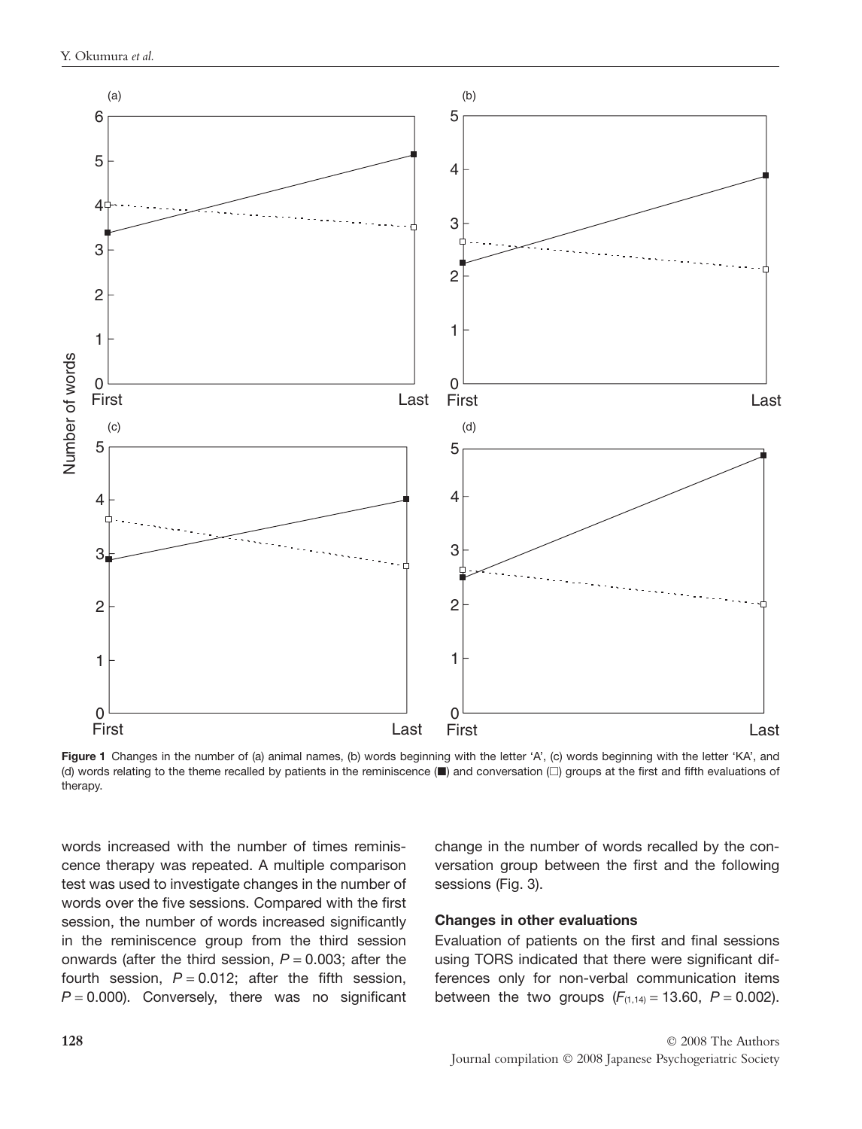

**Figure 1** Changes in the number of (a) animal names, (b) words beginning with the letter 'A', (c) words beginning with the letter 'KA', and (d) words relating to the theme recalled by patients in the reminiscence ( $\blacksquare$ ) and conversation ( $\Box$ ) groups at the first and fifth evaluations of therapy.

words increased with the number of times reminiscence therapy was repeated. A multiple comparison test was used to investigate changes in the number of words over the five sessions. Compared with the first session, the number of words increased significantly in the reminiscence group from the third session onwards (after the third session, *P* = 0.003; after the fourth session,  $P = 0.012$ ; after the fifth session,  $P = 0.000$ ). Conversely, there was no significant change in the number of words recalled by the conversation group between the first and the following sessions (Fig. 3).

#### **Changes in other evaluations**

Evaluation of patients on the first and final sessions using TORS indicated that there were significant differences only for non-verbal communication items between the two groups  $(F_{(1,14)} = 13.60, P = 0.002)$ .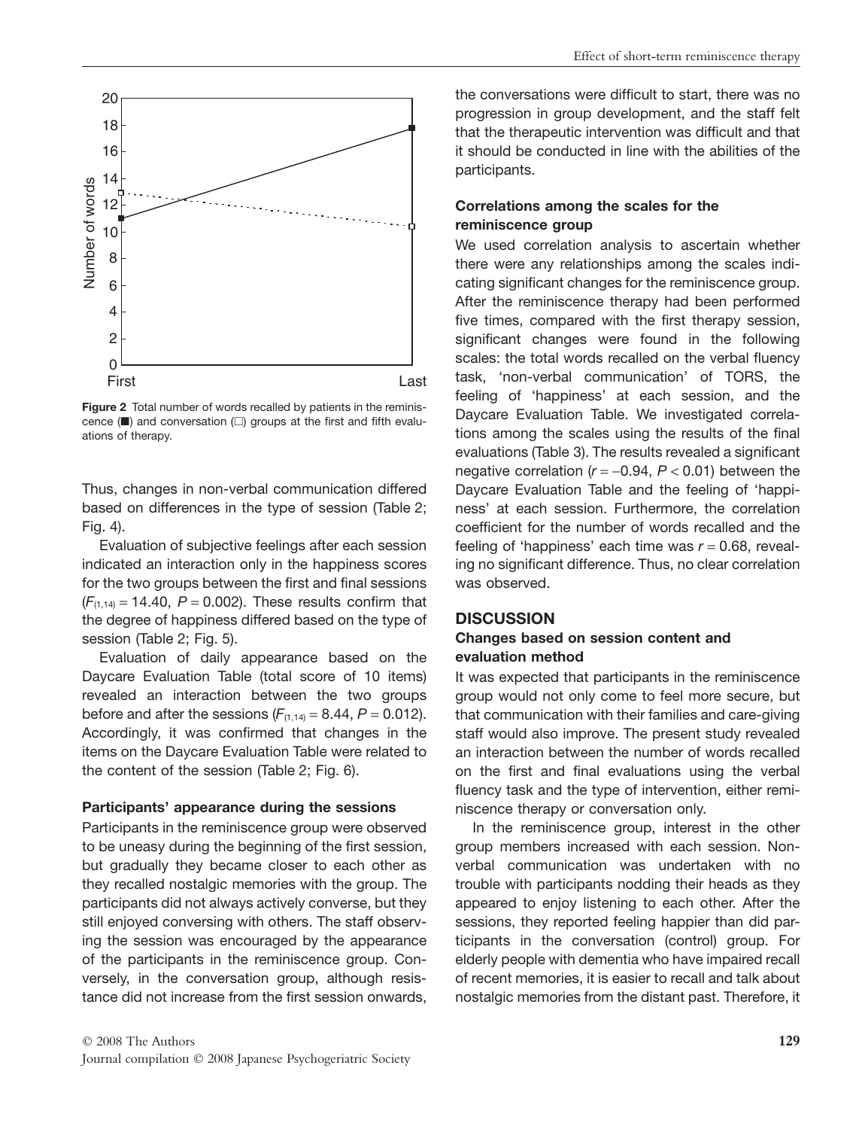

**Figure 2** Total number of words recalled by patients in the reminiscence ( $\blacksquare$ ) and conversation ( $\Box$ ) groups at the first and fifth evaluations of therapy.

Thus, changes in non-verbal communication differed based on differences in the type of session (Table 2; Fig. 4).

Evaluation of subjective feelings after each session indicated an interaction only in the happiness scores for the two groups between the first and final sessions  $(F_{(1,14)} = 14.40, P = 0.002)$ . These results confirm that the degree of happiness differed based on the type of session (Table 2; Fig. 5).

Evaluation of daily appearance based on the Daycare Evaluation Table (total score of 10 items) revealed an interaction between the two groups before and after the sessions  $(F_{(1,14)} = 8.44, P = 0.012)$ . Accordingly, it was confirmed that changes in the items on the Daycare Evaluation Table were related to the content of the session (Table 2; Fig. 6).

### **Participants' appearance during the sessions**

Participants in the reminiscence group were observed to be uneasy during the beginning of the first session, but gradually they became closer to each other as they recalled nostalgic memories with the group. The participants did not always actively converse, but they still enjoyed conversing with others. The staff observing the session was encouraged by the appearance of the participants in the reminiscence group. Conversely, in the conversation group, although resistance did not increase from the first session onwards,

the conversations were difficult to start, there was no progression in group development, and the staff felt that the therapeutic intervention was difficult and that it should be conducted in line with the abilities of the participants.

### **Correlations among the scales for the reminiscence group**

We used correlation analysis to ascertain whether there were any relationships among the scales indicating significant changes for the reminiscence group. After the reminiscence therapy had been performed five times, compared with the first therapy session, significant changes were found in the following scales: the total words recalled on the verbal fluency task, 'non-verbal communication' of TORS, the feeling of 'happiness' at each session, and the Daycare Evaluation Table. We investigated correlations among the scales using the results of the final evaluations (Table 3). The results revealed a significant negative correlation  $(r = -0.94, P < 0.01)$  between the Daycare Evaluation Table and the feeling of 'happiness' at each session. Furthermore, the correlation coefficient for the number of words recalled and the feeling of 'happiness' each time was  $r = 0.68$ , revealing no significant difference. Thus, no clear correlation was observed.

### **DISCUSSION**

### **Changes based on session content and evaluation method**

It was expected that participants in the reminiscence group would not only come to feel more secure, but that communication with their families and care-giving staff would also improve. The present study revealed an interaction between the number of words recalled on the first and final evaluations using the verbal fluency task and the type of intervention, either reminiscence therapy or conversation only.

In the reminiscence group, interest in the other group members increased with each session. Nonverbal communication was undertaken with no trouble with participants nodding their heads as they appeared to enjoy listening to each other. After the sessions, they reported feeling happier than did participants in the conversation (control) group. For elderly people with dementia who have impaired recall of recent memories, it is easier to recall and talk about nostalgic memories from the distant past. Therefore, it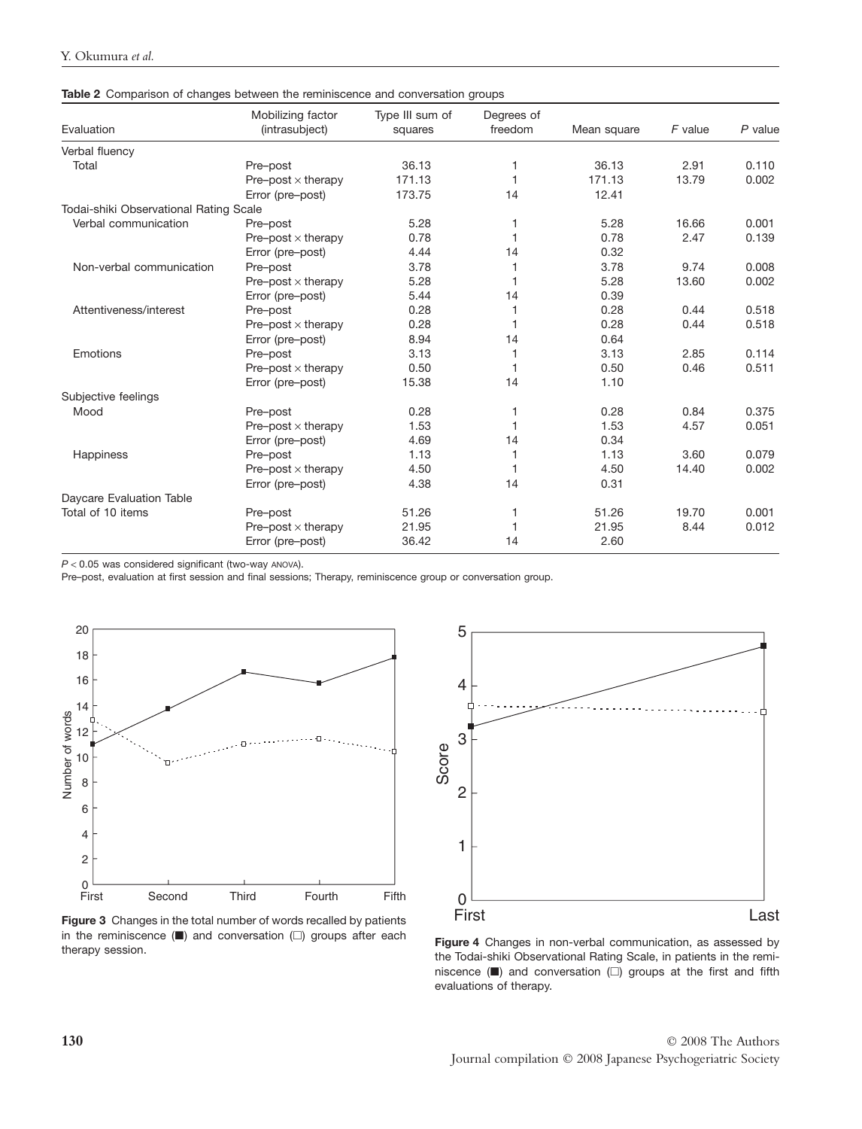| Evaluation                             | Mobilizing factor<br>(intrasubject) | Type III sum of<br>squares | Degrees of<br>freedom | Mean square | $F$ value | $P$ value |
|----------------------------------------|-------------------------------------|----------------------------|-----------------------|-------------|-----------|-----------|
| Verbal fluency                         |                                     |                            |                       |             |           |           |
| Total                                  | Pre-post                            | 36.13                      |                       | 36.13       | 2.91      | 0.110     |
|                                        | $Pre-post \times theory$            | 171.13                     |                       | 171.13      | 13.79     | 0.002     |
|                                        | Error (pre-post)                    | 173.75                     | 14                    | 12.41       |           |           |
| Todai-shiki Observational Rating Scale |                                     |                            |                       |             |           |           |
| Verbal communication                   | Pre-post                            | 5.28                       |                       | 5.28        | 16.66     | 0.001     |
|                                        | $Pre-post \times therapy$           | 0.78                       |                       | 0.78        | 2.47      | 0.139     |
|                                        | Error (pre-post)                    | 4.44                       | 14                    | 0.32        |           |           |
| Non-verbal communication               | Pre-post                            | 3.78                       |                       | 3.78        | 9.74      | 0.008     |
|                                        | $Pre-post \times therapy$           | 5.28                       |                       | 5.28        | 13.60     | 0.002     |
|                                        | Error (pre-post)                    | 5.44                       | 14                    | 0.39        |           |           |
| Attentiveness/interest                 | Pre-post                            | 0.28                       |                       | 0.28        | 0.44      | 0.518     |
|                                        | Pre-post $\times$ therapy           | 0.28                       |                       | 0.28        | 0.44      | 0.518     |
|                                        | Error (pre-post)                    | 8.94                       | 14                    | 0.64        |           |           |
| Emotions                               | Pre-post                            | 3.13                       |                       | 3.13        | 2.85      | 0.114     |
|                                        | $Pre-post \times theory$            | 0.50                       |                       | 0.50        | 0.46      | 0.511     |
|                                        | Error (pre-post)                    | 15.38                      | 14                    | 1.10        |           |           |
| Subjective feelings                    |                                     |                            |                       |             |           |           |
| Mood                                   | Pre-post                            | 0.28                       |                       | 0.28        | 0.84      | 0.375     |
|                                        | $Pre-post \times theory$            | 1.53                       |                       | 1.53        | 4.57      | 0.051     |
|                                        | Error (pre-post)                    | 4.69                       | 14                    | 0.34        |           |           |
| <b>Happiness</b>                       | Pre-post                            | 1.13                       |                       | 1.13        | 3.60      | 0.079     |
|                                        | Pre-post $\times$ therapy           | 4.50                       |                       | 4.50        | 14.40     | 0.002     |
|                                        | Error (pre-post)                    | 4.38                       | 14                    | 0.31        |           |           |
| Daycare Evaluation Table               |                                     |                            |                       |             |           |           |
| Total of 10 items                      | Pre-post                            | 51.26                      |                       | 51.26       | 19.70     | 0.001     |
|                                        | $Pre-post \times therapy$           | 21.95                      |                       | 21.95       | 8.44      | 0.012     |
|                                        | Error (pre-post)                    | 36.42                      | 14                    | 2.60        |           |           |

#### **Table 2** Comparison of changes between the reminiscence and conversation groups

*P* < 0.05 was considered significant (two-way ANOVA).

Pre–post, evaluation at first session and final sessions; Therapy, reminiscence group or conversation group.



**Figure 3** Changes in the total number of words recalled by patients in the reminiscence ( $\blacksquare$ ) and conversation ( $\square$ ) groups after each therapy session.



**Figure 4** Changes in non-verbal communication, as assessed by the Todai-shiki Observational Rating Scale, in patients in the reminiscence  $(\blacksquare)$  and conversation  $(\square)$  groups at the first and fifth evaluations of therapy.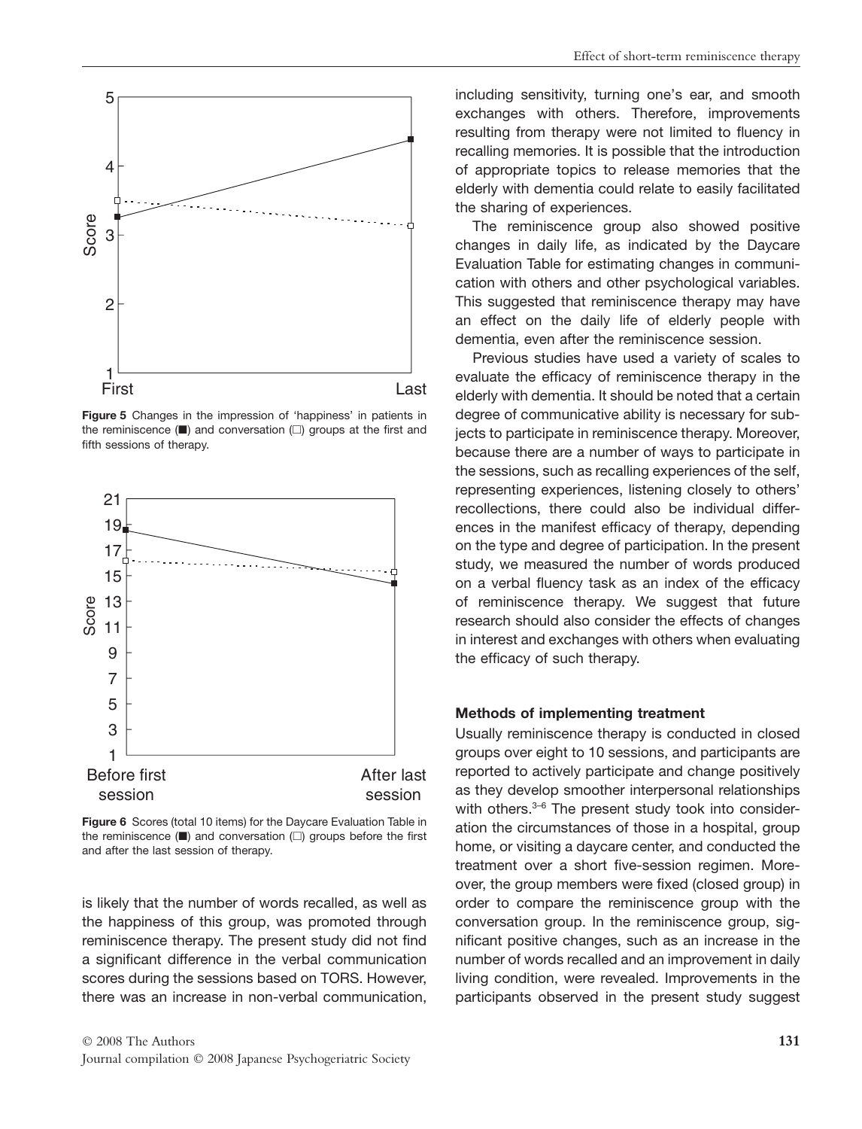

**Figure 5** Changes in the impression of 'happiness' in patients in the reminiscence ( $\blacksquare$ ) and conversation ( $\Box$ ) groups at the first and fifth sessions of therapy.



**Figure 6** Scores (total 10 items) for the Daycare Evaluation Table in the reminiscence ( $\blacksquare$ ) and conversation ( $\Box$ ) groups before the first and after the last session of therapy.

is likely that the number of words recalled, as well as the happiness of this group, was promoted through reminiscence therapy. The present study did not find a significant difference in the verbal communication scores during the sessions based on TORS. However, there was an increase in non-verbal communication,

including sensitivity, turning one's ear, and smooth exchanges with others. Therefore, improvements resulting from therapy were not limited to fluency in recalling memories. It is possible that the introduction of appropriate topics to release memories that the elderly with dementia could relate to easily facilitated the sharing of experiences.

The reminiscence group also showed positive changes in daily life, as indicated by the Daycare Evaluation Table for estimating changes in communication with others and other psychological variables. This suggested that reminiscence therapy may have an effect on the daily life of elderly people with dementia, even after the reminiscence session.

Previous studies have used a variety of scales to evaluate the efficacy of reminiscence therapy in the elderly with dementia. It should be noted that a certain degree of communicative ability is necessary for subjects to participate in reminiscence therapy. Moreover, because there are a number of ways to participate in the sessions, such as recalling experiences of the self, representing experiences, listening closely to others' recollections, there could also be individual differences in the manifest efficacy of therapy, depending on the type and degree of participation. In the present study, we measured the number of words produced on a verbal fluency task as an index of the efficacy of reminiscence therapy. We suggest that future research should also consider the effects of changes in interest and exchanges with others when evaluating the efficacy of such therapy.

#### **Methods of implementing treatment**

Usually reminiscence therapy is conducted in closed groups over eight to 10 sessions, and participants are reported to actively participate and change positively as they develop smoother interpersonal relationships with others.<sup>3–6</sup> The present study took into consideration the circumstances of those in a hospital, group home, or visiting a daycare center, and conducted the treatment over a short five-session regimen. Moreover, the group members were fixed (closed group) in order to compare the reminiscence group with the conversation group. In the reminiscence group, significant positive changes, such as an increase in the number of words recalled and an improvement in daily living condition, were revealed. Improvements in the participants observed in the present study suggest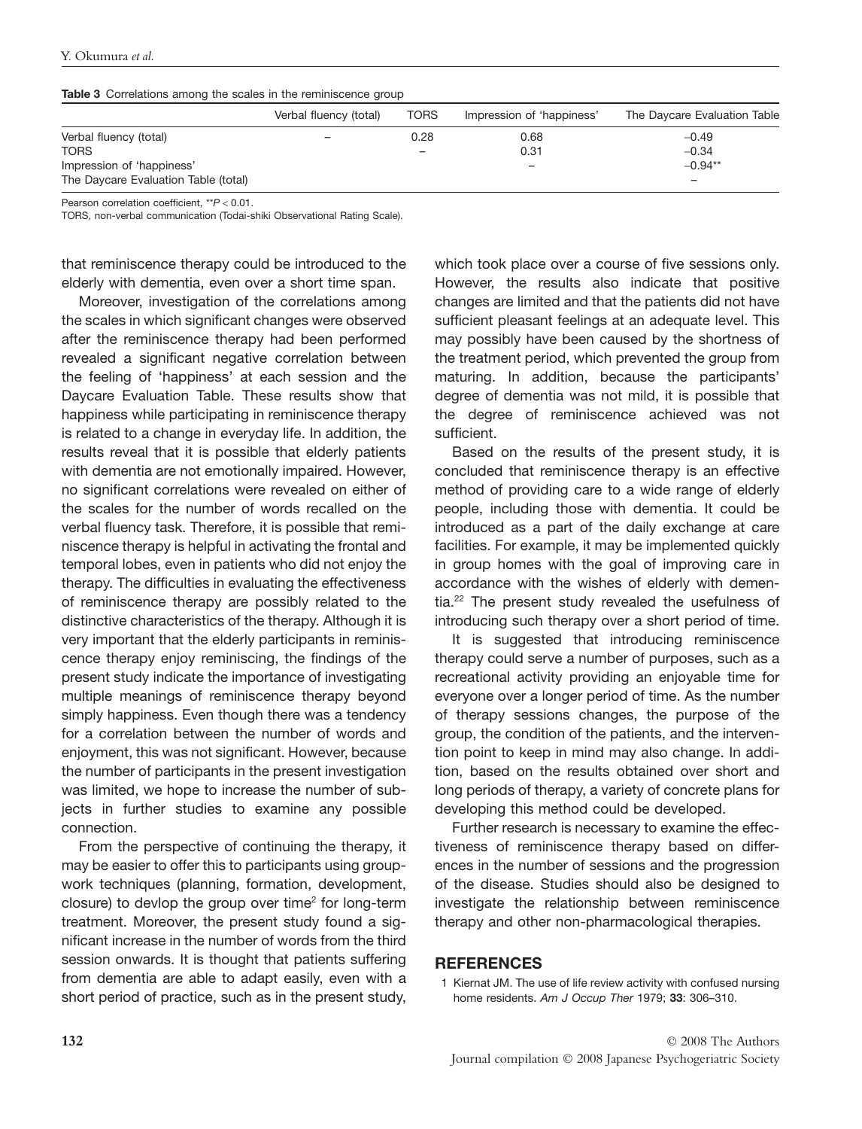|  |  |  |  |  |  |  | <b>Table 3</b> Correlations among the scales in the reminiscence group |  |
|--|--|--|--|--|--|--|------------------------------------------------------------------------|--|
|--|--|--|--|--|--|--|------------------------------------------------------------------------|--|

|                                      | Verbal fluency (total)   | <b>TORS</b>              | Impression of 'happiness' | The Daycare Evaluation Table |
|--------------------------------------|--------------------------|--------------------------|---------------------------|------------------------------|
| Verbal fluency (total)               | $\overline{\phantom{0}}$ | 0.28                     | 0.68                      | $-0.49$                      |
| <b>TORS</b>                          |                          | $\overline{\phantom{0}}$ | 0.31                      | $-0.34$                      |
| Impression of 'happiness'            |                          |                          | -                         | $-0.94**$                    |
| The Daycare Evaluation Table (total) |                          |                          |                           | $\overline{\phantom{0}}$     |

Pearson correlation coefficient, \*\**P* < 0.01.

TORS, non-verbal communication (Todai-shiki Observational Rating Scale).

that reminiscence therapy could be introduced to the elderly with dementia, even over a short time span.

Moreover, investigation of the correlations among the scales in which significant changes were observed after the reminiscence therapy had been performed revealed a significant negative correlation between the feeling of 'happiness' at each session and the Daycare Evaluation Table. These results show that happiness while participating in reminiscence therapy is related to a change in everyday life. In addition, the results reveal that it is possible that elderly patients with dementia are not emotionally impaired. However, no significant correlations were revealed on either of the scales for the number of words recalled on the verbal fluency task. Therefore, it is possible that reminiscence therapy is helpful in activating the frontal and temporal lobes, even in patients who did not enjoy the therapy. The difficulties in evaluating the effectiveness of reminiscence therapy are possibly related to the distinctive characteristics of the therapy. Although it is very important that the elderly participants in reminiscence therapy enjoy reminiscing, the findings of the present study indicate the importance of investigating multiple meanings of reminiscence therapy beyond simply happiness. Even though there was a tendency for a correlation between the number of words and enjoyment, this was not significant. However, because the number of participants in the present investigation was limited, we hope to increase the number of subjects in further studies to examine any possible connection.

From the perspective of continuing the therapy, it may be easier to offer this to participants using groupwork techniques (planning, formation, development, closure) to devlop the group over time<sup>2</sup> for long-term treatment. Moreover, the present study found a significant increase in the number of words from the third session onwards. It is thought that patients suffering from dementia are able to adapt easily, even with a short period of practice, such as in the present study,

which took place over a course of five sessions only. However, the results also indicate that positive changes are limited and that the patients did not have sufficient pleasant feelings at an adequate level. This may possibly have been caused by the shortness of the treatment period, which prevented the group from maturing. In addition, because the participants' degree of dementia was not mild, it is possible that the degree of reminiscence achieved was not sufficient.

Based on the results of the present study, it is concluded that reminiscence therapy is an effective method of providing care to a wide range of elderly people, including those with dementia. It could be introduced as a part of the daily exchange at care facilities. For example, it may be implemented quickly in group homes with the goal of improving care in accordance with the wishes of elderly with dementia.<sup>22</sup> The present study revealed the usefulness of introducing such therapy over a short period of time.

It is suggested that introducing reminiscence therapy could serve a number of purposes, such as a recreational activity providing an enjoyable time for everyone over a longer period of time. As the number of therapy sessions changes, the purpose of the group, the condition of the patients, and the intervention point to keep in mind may also change. In addition, based on the results obtained over short and long periods of therapy, a variety of concrete plans for developing this method could be developed.

Further research is necessary to examine the effectiveness of reminiscence therapy based on differences in the number of sessions and the progression of the disease. Studies should also be designed to investigate the relationship between reminiscence therapy and other non-pharmacological therapies.

### **REFERENCES**

1 Kiernat JM. The use of life review activity with confused nursing home residents. *Am J Occup Ther* 1979; **33**: 306–310.